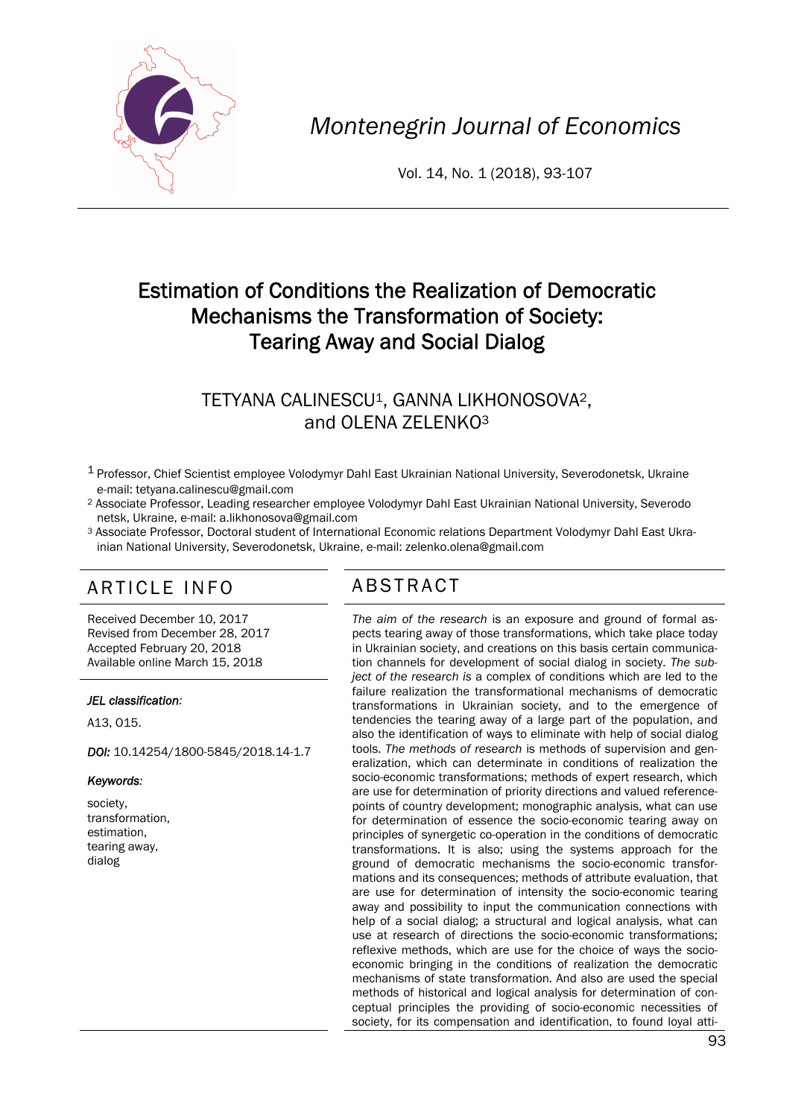

*Montenegrin Journal of Economics* 

Vol. 14, No. 1 (2018), 93-107

# Estimation of Conditions the Realization of Democratic Mechanisms the Transformation of Society: Tearing Away and Social Dialog

## TETYANA CALINESCU<sup>1</sup>, GANNA LIKHONOSOVA<sup>2</sup>, and OLENA ZELENKO3

- 1 Professor, Chief Scientist employee Volodymyr Dahl East Ukrainian National University, Severodonetsk, Ukraine e-mail: tetyana.calinescu@gmail.com
- 2 Associate Professor, Leading researcher employee Volodymyr Dahl East Ukrainian National University, Sеvеrodo netsk, Ukraine, e-mail: a.likhonosova@gmail.com
- 3 Associate Professor, Doctoral student of International Economic relations Department Volodymyr Dahl East Ukra inian National University, Sеvеrodonetsk, Ukraine, e-mail: zelenko.olena@gmail.com

# ARTICLE INFO ABSTRACT

Received December 10, 2017 Revised from December 28, 2017 Accepted February 20, 2018 Available online March 15, 2018

#### *JEL classification:*

А13, О15.

*DOI:* 10.14254/1800-5845/2018.14-1.7

#### *Keywords:*

society, transformation, estimation, tearing away, dialog

 *The aim of the research* is an exposure and ground of formal aspects tearing away of those transformations, which take place today in Ukrainian society, and creations on this basis certain communication channels for development of social dialog in society. *The subject of the research is* a complex of conditions which are led to the failure realization the transformational mechanisms of democratic transformations in Ukrainian society, and to the emergence of tendencies the tearing away of a large part of the population, and also the identification of ways to eliminate with help of social dialog tools. *The methods of research* is methods of supervision and generalization, which can determinate in conditions of realization the socio-economic transformations; methods of expert research, which are use for determination of priority directions and valued referencepoints of country development; monographic analysis, what can use for determination of essence the socio-economic tearing away on principles of synergetic co-operation in the conditions of democratic transformations. It is also; using the systems approach for the ground of democratic mechanisms the socio-economic transformations and its consequences; methods of attribute evaluation, that are use for determination of intensity the socio-economic tearing away and possibility to input the communication connections with help of a social dialog; a structural and logical analysis, what can use at research of directions the socio-economic transformations; reflexive methods, which are use for the choice of ways the socioeconomic bringing in the conditions of realization the democratic mechanisms of state transformation. And also are used the special methods of historical and logical analysis for determination of conceptual principles the providing of socio-economic necessities of society, for its compensation and identification, to found loyal atti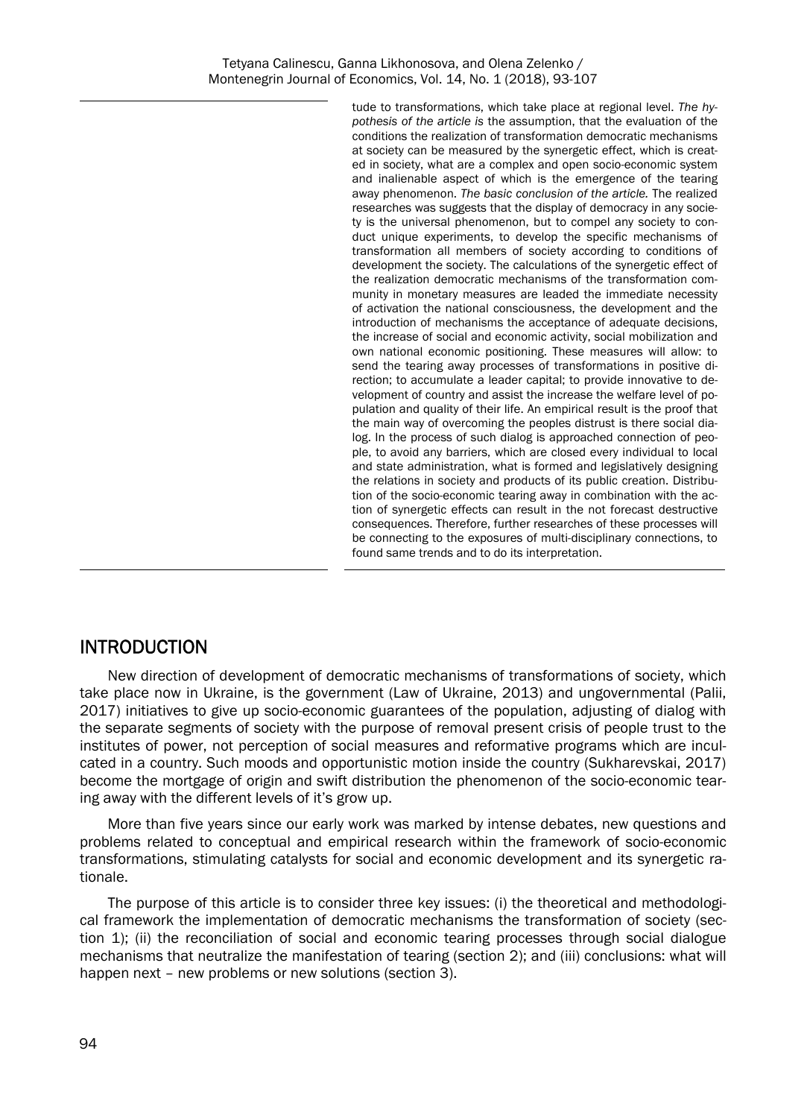tude to transformations, which take place at regional level. *The hypothesis of the article is* the assumption, that the evaluation of the conditions the realization of transformation democratic mechanisms at society can be measured by the synergetic effect, which is created in society, what are a complex and open socio-economic system and inalienable aspect of which is the emergence of the tearing away phenomenon. *The basic conclusion of the article.* The realized researches was suggests that the display of democracy in any society is the universal phenomenon, but to compel any society to conduct unique experiments, to develop the specific mechanisms of transformation all members of society according to conditions of development the society. The calculations of the synergetic effect of the realization democratic mechanisms of the transformation community in monetary measures are leaded the immediate necessity of activation the national consciousness, the development and the introduction of mechanisms the acceptance of adequate decisions, the increase of social and economic activity, social mobilization and own national economic positioning. These measures will allow: to send the tearing away processes of transformations in positive direction; to accumulate a leader capital; to provide innovative to development of country and assist the increase the welfare level of population and quality of their life. An empirical result is the proof that the main way of overcoming the peoples distrust is there social dialog. In the process of such dialog is approached connection of people, to avoid any barriers, which are closed every individual to local and state administration, what is formed and legislatively designing the relations in society and products of its public creation. Distribution of the socio-economic tearing away in combination with the action of synergetic effects can result in the not forecast destructive consequences. Therefore, further researches of these processes will be connecting to the exposures of multi-disciplinary connections, to found same trends and to do its interpretation.

### INTRODUCTION

New direction of development of democratic mechanisms of transformations of society, which take place now in Ukraine, is the government (Law of Ukraine, 2013) and ungovernmental (Palii, 2017) initiatives to give up socio-economic guarantees of the population, adjusting of dialog with the separate segments of society with the purpose of removal present crisis of people trust to the institutes of power, not perception of social measures and reformative programs which are inculcated in a country. Such moods and opportunistic motion inside the country (Sukharevskai, 2017) become the mortgage of origin and swift distribution the phenomenon of the socio-economic tearing away with the different levels of it's grow up.

More than five years since our early work was marked by intense debates, new questions and problems related to conceptual and empirical research within the framework of socio-economic transformations, stimulating catalysts for social and economic development and its synergetic rationale.

The purpose of this article is to consider three key issues: (i) the theoretical and methodological framework the implementation of democratic mechanisms the transformation of society (section 1); (ii) the reconciliation of social and economic tearing processes through social dialogue mechanisms that neutralize the manifestation of tearing (section 2); and (iii) conclusions: what will happen next – new problems or new solutions (section 3).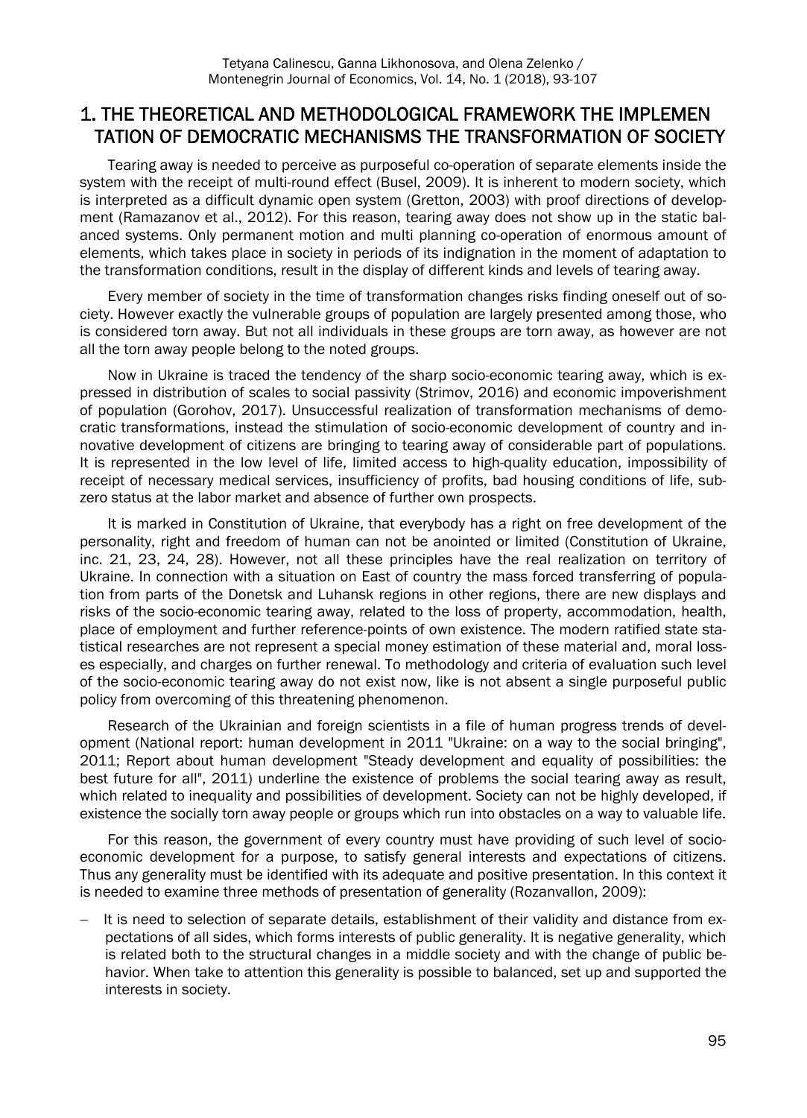### 1. THE THEORETICAL AND METHODOLOGICAL FRAMEWORK THE IMPLEMEN TATION OF DEMOCRATIC MECHANISMS THE TRANSFORMATION OF SOCIETY

Tearing away is needed to perceive as purposeful co-operation of separate elements inside the system with the receipt of multi-round effect (Busel, 2009). It is inherent to modern society, which is interpreted as a difficult dynamic open system (Gretton, 2003) with proof directions of development (Ramazanov et al., 2012). For this reason, tearing away does not show up in the static balanced systems. Only permanent motion and multi planning co-operation of enormous amount of elements, which takes place in society in periods of its indignation in the moment of adaptation to the transformation conditions, result in the display of different kinds and levels of tearing away.

Every member of society in the time of transformation changes risks finding oneself out of society. However exactly the vulnerable groups of population are largely presented among those, who is considered torn away. But not all individuals in these groups are torn away, as however are not all the torn away people belong to the noted groups.

Now in Ukraine is traced the tendency of the sharp socio-economic tearing away, which is expressed in distribution of scales to social passivity (Strimov, 2016) and economic impoverishment of population (Gorohov, 2017). Unsuccessful realization of transformation mechanisms of democratic transformations, instead the stimulation of socio-economic development of country and innovative development of citizens are bringing to tearing away of considerable part of populations. It is represented in the low level of life, limited access to high-quality education, impossibility of receipt of necessary medical services, insufficiency of profits, bad housing conditions of life, subzero status at the labor market and absence of further own prospects.

It is marked in Constitution of Ukraine, that everybody has a right on free development of the personality, right and freedom of human can not be anointed or limited (Constitution of Ukraine, inc. 21, 23, 24, 28). However, not all these principles have the real realization on territory of Ukraine. In connection with a situation on East of country the mass forced transferring of population from parts of the Donetsk and Luhansk regions in other regions, there are new displays and risks of the socio-economic tearing away, related to the loss of property, accommodation, health, place of employment and further reference-points of own existence. The modern ratified state statistical researches are not represent a special money estimation of these material and, moral losses especially, and charges on further renewal. To methodology and criteria of evaluation such level of the socio-economic tearing away do not exist now, like is not absent a single purposeful public policy from overcoming of this threatening phenomenon.

Research of the Ukrainian and foreign scientists in a file of human progress trends of development (National report: human development in 2011 "Ukraine: on a way to the social bringing", 2011; Report about human development "Steady development and equality of possibilities: the best future for all", 2011) underline the existence of problems the social tearing away as result, which related to inequality and possibilities of development. Society can not be highly developed, if existence the socially torn away people or groups which run into obstacles on a way to valuable life.

For this reason, the government of every country must have providing of such level of socioeconomic development for a purpose, to satisfy general interests and expectations of citizens. Thus any generality must be identified with its adequate and positive presentation. In this context it is needed to examine three methods of presentation of generality (Rozanvallon, 2009):

 It is need to selection of separate details, establishment of their validity and distance from expectations of all sides, which forms interests of public generality. It is negative generality, which is related both to the structural changes in a middle society and with the change of public behavior. When take to attention this generality is possible to balanced, set up and supported the interests in society.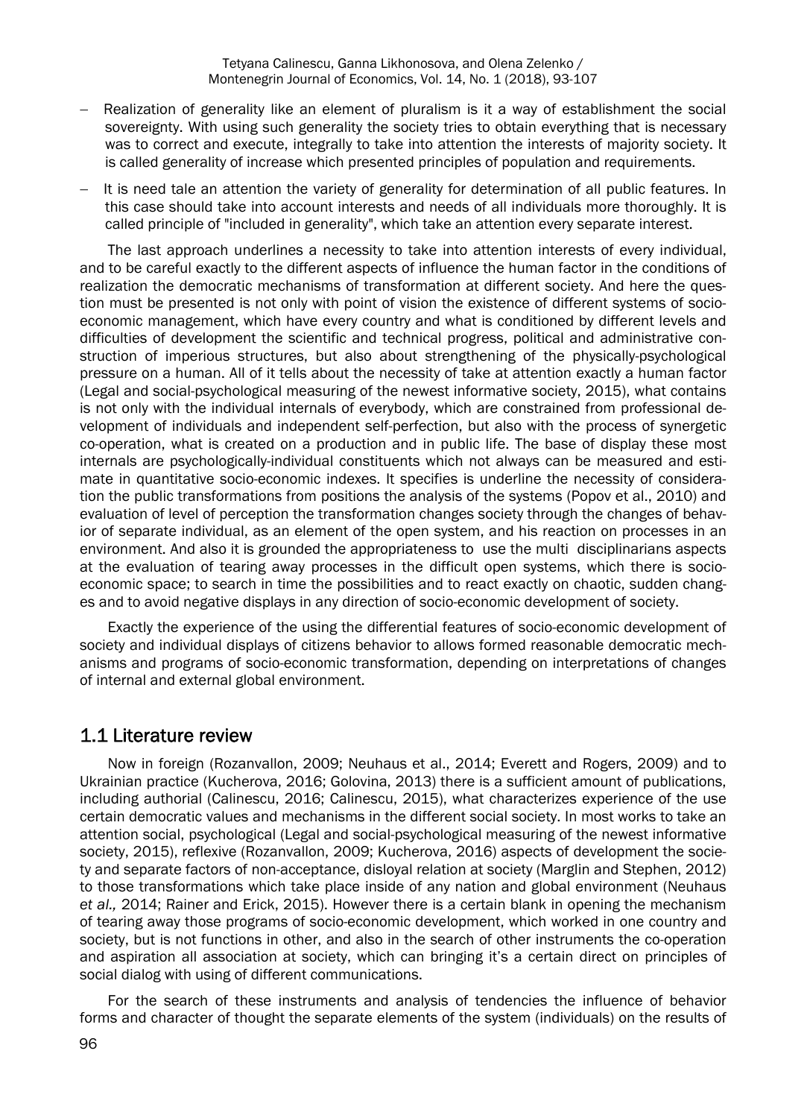- Realization of generality like an element of pluralism is it a way of establishment the social sovereignty. With using such generality the society tries to obtain everything that is necessary was to correct and execute, integrally to take into attention the interests of majority society. It is called generality of increase which presented principles of population and requirements.
- It is need tale an attention the variety of generality for determination of all public features. In this case should take into account interests and needs of all individuals more thoroughly. It is called principle of "included in generality", which take an attention every separate interest.

The last approach underlines a necessity to take into attention interests of every individual, and to be careful exactly to the different aspects of influence the human factor in the conditions of realization the democratic mechanisms of transformation at different society. And here the question must be presented is not only with point of vision the existence of different systems of socioeconomic management, which have every country and what is conditioned by different levels and difficulties of development the scientific and technical progress, political and administrative construction of imperious structures, but also about strengthening of the physically-psychological pressure on a human. All of it tells about the necessity of take at attention exactly a human factor (Legal and social-psychological measuring of the newest informative society, 2015), what contains is not only with the individual internals of everybody, which are constrained from professional development of individuals and independent self-perfection, but also with the process of synergetic co-operation, what is created on a production and in public life. The base of display these most internals are psychologically-individual constituents which not always can be measured and estimate in quantitative socio-economic indexes. It specifies is underline the necessity of consideration the public transformations from positions the analysis of the systems (Popov et al., 2010) and evaluation of level of perception the transformation changes society through the changes of behavior of separate individual, as an element of the open system, and his reaction on processes in an environment. And also it is grounded the appropriateness to use the multi disciplinarians aspects at the evaluation of tearing away processes in the difficult open systems, which there is socioeconomic space; to search in time the possibilities and to react exactly on chaotic, sudden changes and to avoid negative displays in any direction of socio-economic development of society.

Exactly the experience of the using the differential features of socio-economic development of society and individual displays of citizens behavior to allows formed reasonable democratic mechanisms and programs of socio-economic transformation, depending on interpretations of changes of internal and external global environment.

#### 1.1 Literature review

Now in foreign (Rozanvallon, 2009; Neuhaus et al., 2014; Everett and Rogers, 2009) and to Ukrainian practice (Кucherova, 2016; Golovina, 2013) there is a sufficient amount of publications, including authorial (Calinescu, 2016; Calinescu, 2015), what characterizes experience of the use certain democratic values and mechanisms in the different social society. In most works to take an attention social, psychological (Legal and social-psychological measuring of the newest informative society, 2015), reflexive (Rozanvallon, 2009; Кucherova, 2016) aspects of development the society and separate factors of non-acceptance, disloyal relation at society (Marglin and Stephen, 2012) to those transformations which take place inside of any nation and global environment (Neuhaus *et al.,* 2014; Rainer and Erick, 2015). However there is a certain blank in opening the mechanism of tearing away those programs of socio-economic development, which worked in one country and society, but is not functions in other, and also in the search of other instruments the co-operation and aspiration all association at society, which can bringing it's a certain direct on principles of social dialog with using of different communications.

For the search of these instruments and analysis of tendencies the influence of behavior forms and character of thought the separate elements of the system (individuals) on the results of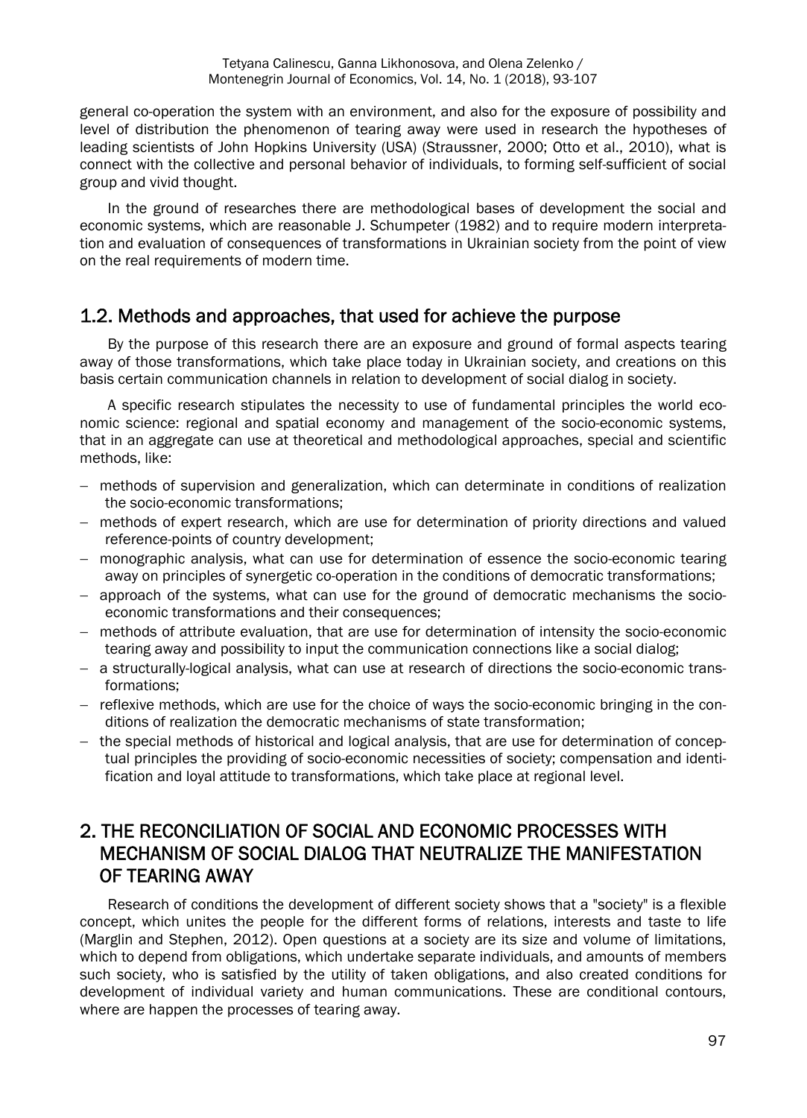general co-operation the system with an environment, and also for the exposure of possibility and level of distribution the phenomenon of tearing away were used in research the hypotheses of leading scientists of John Hopkins University (USA) (Straussner, 2000; Otto et al., 2010), what is connect with the collective and personal behavior of individuals, to forming self-sufficient of social group and vivid thought.

In the ground of researches there are methodological bases of development the social and economic systems, which are reasonable J. Schumpeter (1982) and to require modern interpretation and evaluation of consequences of transformations in Ukrainian society from the point of view on the real requirements of modern time.

#### 1.2. Methods and approaches, that used for achieve the purpose

By the purpose of this research there are an exposure and ground of formal aspects tearing away of those transformations, which take place today in Ukrainian society, and creations on this basis certain communication channels in relation to development of social dialog in society.

A specific research stipulates the necessity to use of fundamental principles the world economic science: regional and spatial economy and management of the socio-economic systems, that in an aggregate can use at theoretical and methodological approaches, special and scientific methods, like:

- methods of supervision and generalization, which can determinate in conditions of realization the socio-economic transformations;
- methods of expert research, which are use for determination of priority directions and valued reference-points of country development;
- monographic analysis, what can use for determination of essence the socio-economic tearing away on principles of synergetic co-operation in the conditions of democratic transformations;
- approach of the systems, what can use for the ground of democratic mechanisms the socioeconomic transformations and their consequences;
- methods of attribute evaluation, that are use for determination of intensity the socio-economic tearing away and possibility to input the communication connections like a social dialog;
- a structurally-logical analysis, what can use at research of directions the socio-economic transformations;
- $-$  reflexive methods, which are use for the choice of ways the socio-economic bringing in the conditions of realization the democratic mechanisms of state transformation;
- $-$  the special methods of historical and logical analysis, that are use for determination of conceptual principles the providing of socio-economic necessities of society; compensation and identification and loyal attitude to transformations, which take place at regional level.

## 2. THE RECONCILIATION OF SOCIAL AND ECONOMIC PROCESSES WITH MECHANISM OF SOCIAL DIALOG THAT NEUTRALIZE THE MANIFESTATION OF TEARING AWAY

Research of conditions the development of different society shows that a "society" is a flexible concept, which unites the people for the different forms of relations, interests and taste to life (Marglin and Stephen, 2012). Open questions at a society are its size and volume of limitations, which to depend from obligations, which undertake separate individuals, and amounts of members such society, who is satisfied by the utility of taken obligations, and also created conditions for development of individual variety and human communications. These are conditional contours, where are happen the processes of tearing away.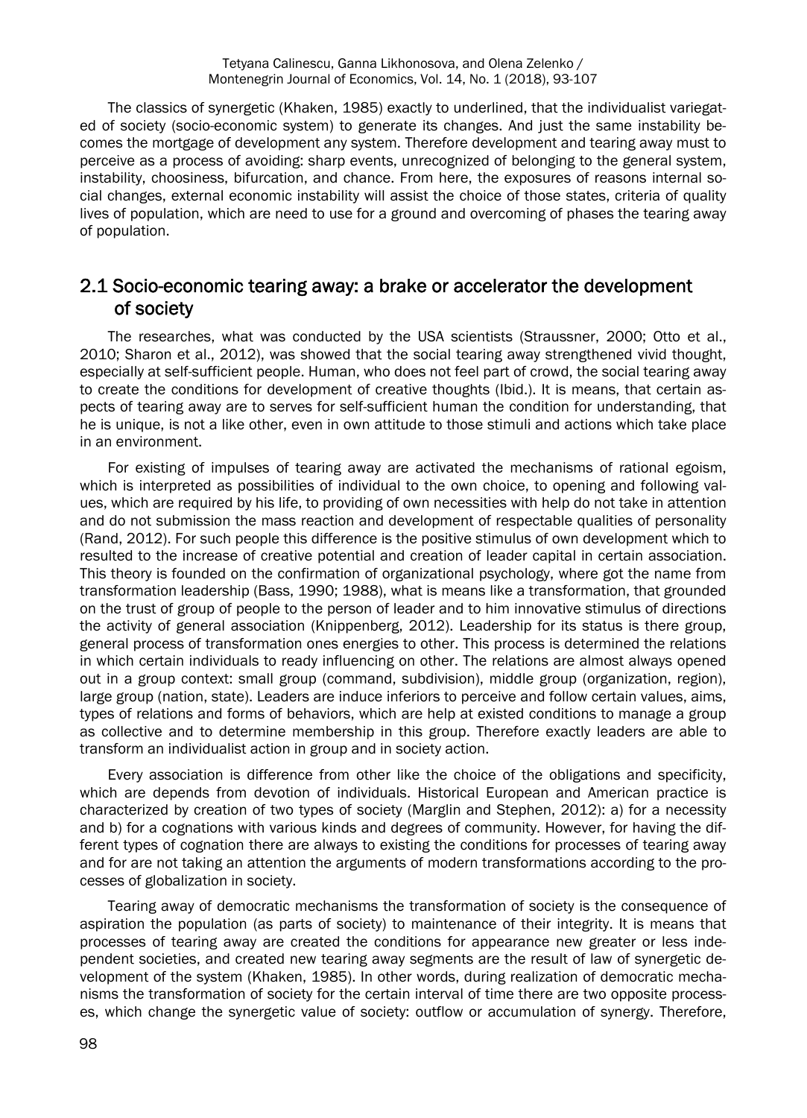The classics of synergetic (Khaken, 1985) exactly to underlined, that the individualist variegated of society (socio-economic system) to generate its changes. And just the same instability becomes the mortgage of development any system. Therefore development and tearing away must to perceive as a process of avoiding: sharp events, unrecognized of belonging to the general system, instability, choosiness, bifurcation, and chance. From here, the exposures of reasons internal social changes, external economic instability will assist the choice of those states, criteria of quality lives of population, which are need to use for a ground and overcoming of phases the tearing away of population.

#### 2.1 Socio-economic tearing away: a brake or accelerator the development of society

The researches, what was conducted by the USA scientists (Straussner, 2000; Otto et al., 2010; Sharon et al., 2012), was showed that the social tearing away strengthened vivid thought, especially at self-sufficient people. Human, who does not feel part of crowd, the social tearing away to create the conditions for development of creative thoughts (Ibid.). It is means, that certain aspects of tearing away are to serves for self-sufficient human the condition for understanding, that he is unique, is not a like other, even in own attitude to those stimuli and actions which take place in an environment.

For existing of impulses of tearing away are activated the mechanisms of rational egoism, which is interpreted as possibilities of individual to the own choice, to opening and following values, which are required by his life, to providing of own necessities with help do not take in attention and do not submission the mass reaction and development of respectable qualities of personality (Rand, 2012). For such people this difference is the positive stimulus of own development which to resulted to the increase of creative potential and creation of leader capital in certain association. This theory is founded on the confirmation of organizational psychology, where got the name from transformation leadership (Bass, 1990; 1988), what is means like a transformation, that grounded on the trust of group of people to the person of leader and to him innovative stimulus of directions the activity of general association (Кnippenberg, 2012). Leadership for its status is there group, general process of transformation ones energies to other. This process is determined the relations in which certain individuals to ready influencing on other. The relations are almost always opened out in a group context: small group (command, subdivision), middle group (organization, region), large group (nation, state). Leaders are induce inferiors to perceive and follow certain values, aims, types of relations and forms of behaviors, which are help at existed conditions to manage a group as collective and to determine membership in this group. Therefore exactly leaders are able to transform an individualist action in group and in society action.

Every association is difference from other like the choice of the obligations and specificity, which are depends from devotion of individuals. Historical European and American practice is characterized by creation of two types of society (Marglin and Stephen, 2012): a) for a necessity and b) for a cognations with various kinds and degrees of community. However, for having the different types of cognation there are always to existing the conditions for processes of tearing away and for are not taking an attention the arguments of modern transformations according to the processes of globalization in society.

Tearing away of democratic mechanisms the transformation of society is the consequence of aspiration the population (as parts of society) to maintenance of their integrity. It is means that processes of tearing away are created the conditions for appearance new greater or less independent societies, and created new tearing away segments are the result of law of synergetic development of the system (Khaken, 1985). In other words, during realization of democratic mechanisms the transformation of society for the certain interval of time there are two opposite processes, which change the synergetic value of society: outflow or accumulation of synergy. Therefore,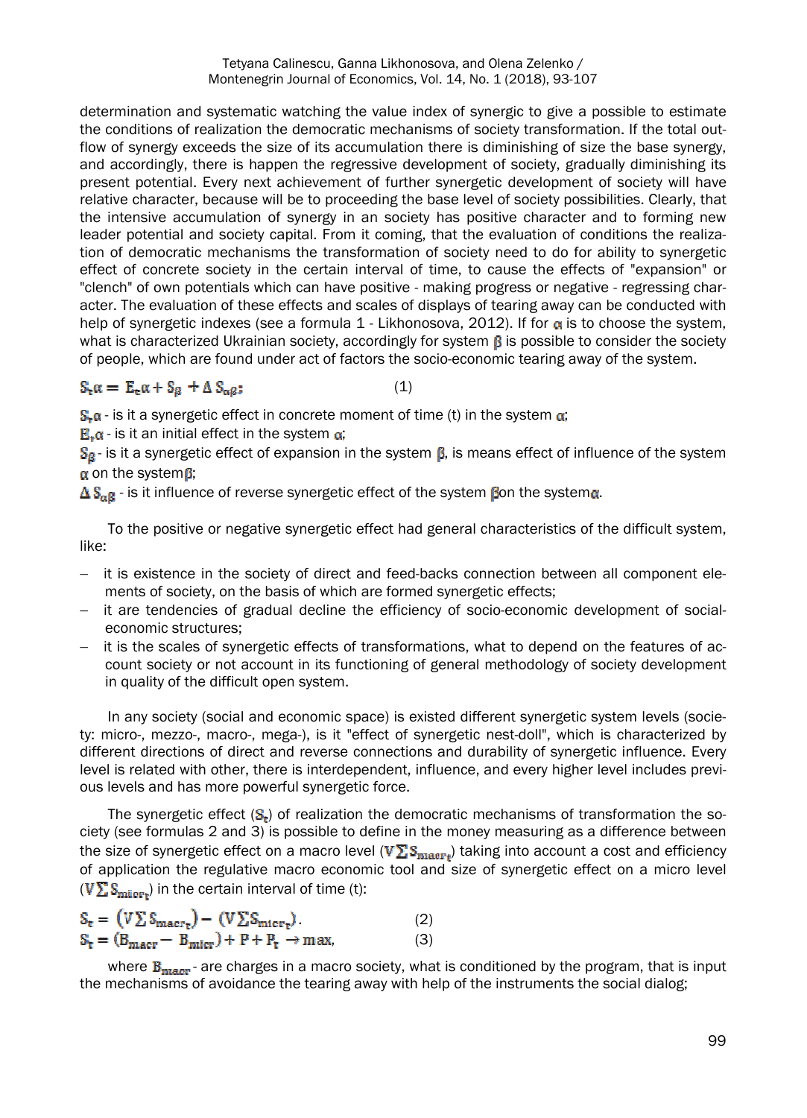Тetyana Calinescu, Ganna Likhonosova, and Оlena Zelеnkо / Montenegrin Journal of Economics, Vol. 14, No. 1 (2018), 93-107

determination and systematic watching the value index of synergic to give a possible to estimate the conditions of realization the democratic mechanisms of society transformation. If the total outflow of synergy exceeds the size of its accumulation there is diminishing of size the base synergy, and accordingly, there is happen the regressive development of society, gradually diminishing its present potential. Every next achievement of further synergetic development of society will have relative character, because will be to proceeding the base level of society possibilities. Clearly, that the intensive accumulation of synergy in an society has positive character and to forming new leader potential and society capital. From it coming, that the evaluation of conditions the realization of democratic mechanisms the transformation of society need to do for ability to synergetic effect of concrete society in the certain interval of time, to cause the effects of "expansion" or "clench" of own potentials which can have positive - making progress or negative - regressing character. The evaluation of these effects and scales of displays of tearing away can be conducted with help of synergetic indexes (see a formula  $1$  - Likhonosova, 2012). If for  $\alpha$  is to choose the system, what is characterized Ukrainian society, accordingly for system  $\beta$  is possible to consider the society of people, which are found under act of factors the socio-economic tearing away of the system.

#### $S_{\mathbf{r}}\alpha = E_{\mathbf{r}}\alpha + S_{\beta} + \Delta S_{\alpha\beta};$  (1)

 $S<sub>1</sub> \alpha$  - is it a synergetic effect in concrete moment of time (t) in the system  $\alpha$ ;

 $E_{\rm r}$  $\alpha$  - is it an initial effect in the system  $\alpha$ ;

 $S_{\beta}$ - is it a synergetic effect of expansion in the system  $\beta$ , is means effect of influence of the system  $\alpha$  on the system  $\beta$ ;

 $\Delta S_{\text{eff}}$  - is it influence of reverse synergetic effect of the system fon the system a.

To the positive or negative synergetic effect had general characteristics of the difficult system, like:

- it is existence in the society of direct and feed-backs connection between all component elements of society, on the basis of which are formed synergetic effects;
- it are tendencies of gradual decline the efficiency of socio-economic development of socialeconomic structures;
- it is the scales of synergetic effects of transformations, what to depend on the features of account society or not account in its functioning of general methodology of society development in quality of the difficult open system.

In any society (social and economic space) is existed different synergetic system levels (society: micro-, mezzo-, macro-, mega-), is it "effect of synergetic nest-doll", which is characterized by different directions of direct and reverse connections and durability of synergetic influence. Every level is related with other, there is interdependent, influence, and every higher level includes previous levels and has more powerful synergetic force.

The synergetic effect  $(S_r)$  of realization the democratic mechanisms of transformation the society (see formulas 2 and 3) is possible to define in the money measuring as a difference between the size of synergetic effect on a macro level ( $V\Sigma S_{\rm{maser}*}$ ) taking into account a cost and efficiency of application the regulative macro economic tool and size of synergetic effect on a micro level  $(V\sum S_{\text{micro-}})$  in the certain interval of time (t):

$$
S_{t} = (V \Sigma S_{\text{macro-}t}) - (V \Sigma S_{\text{micro-}t}). \tag{2}
$$
  

$$
S_{t} = (B_{\text{macro}} - B_{\text{micro}}) + P + P_{t} \rightarrow \text{max}, \tag{3}
$$

where  $B_{\text{macro}}$ - are charges in a macro society, what is conditioned by the program, that is input the mechanisms of avoidance the tearing away with help of the instruments the social dialog;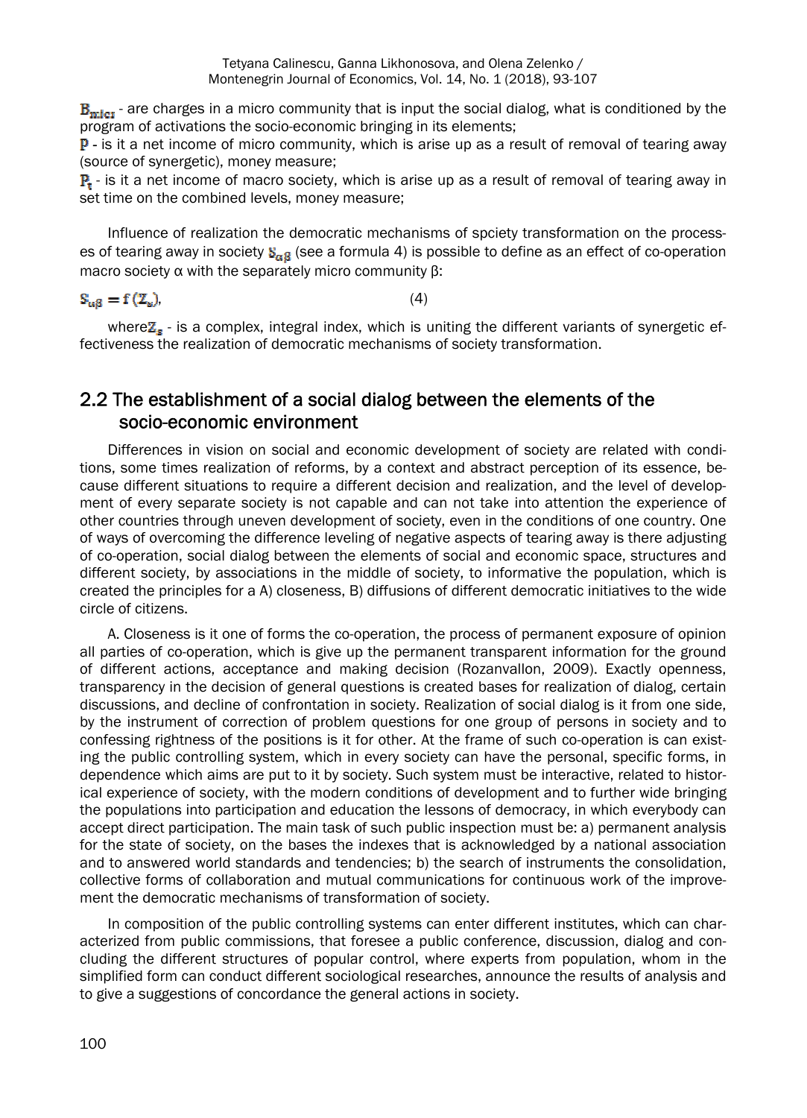$B<sub>micro</sub>$  - are charges in a micro community that is input the social dialog, what is conditioned by the program of activations the socio-economic bringing in its elements;

**P** - is it a net income of micro community, which is arise up as a result of removal of tearing away (source of synergetic), money measure;

 $\mathbf{P}_r$  - is it a net income of macro society, which is arise up as a result of removal of tearing away in set time on the combined levels, money measure;

Influence of realization the democratic mechanisms of spciety transformation on the processes of tearing away in society  $S_{\alpha\beta}$  (see a formula 4) is possible to define as an effect of co-operation macro society α with the separately micro community β:

 $(4)$ 

where $\mathbb{Z}_{\sigma}$  - is a complex, integral index, which is uniting the different variants of synergetic effectiveness the realization of democratic mechanisms of society transformation.

### 2.2 The establishment of a social dialog between the elements of the socio-economic environment

Differences in vision on social and economic development of society are related with conditions, some times realization of reforms, by a context and abstract perception of its essence, because different situations to require a different decision and realization, and the level of development of every separate society is not capable and can not take into attention the experience of other countries through uneven development of society, even in the conditions of one country. One of ways of overcoming the difference leveling of negative aspects of tearing away is there adjusting of co-operation, social dialog between the elements of social and economic space, structures and different society, by associations in the middle of society, to informative the population, which is created the principles for a A) closeness, B) diffusions of different democratic initiatives to the wide circle of citizens.

A. Closeness is it one of forms the co-operation, the process of permanent exposure of opinion all parties of co-operation, which is give up the permanent transparent information for the ground of different actions, acceptance and making decision (Rozanvallon, 2009). Exactly openness, transparency in the decision of general questions is created bases for realization of dialog, certain discussions, and decline of confrontation in society. Realization of social dialog is it from one side, by the instrument of correction of problem questions for one group of persons in society and to confessing rightness of the positions is it for other. At the frame of such co-operation is can existing the public controlling system, which in every society can have the personal, specific forms, in dependence which aims are put to it by society. Such system must be interactive, related to historical experience of society, with the modern conditions of development and to further wide bringing the populations into participation and education the lessons of democracy, in which everybody can accept direct participation. The main task of such public inspection must be: а) permanent analysis for the state of society, on the bases the indexes that is acknowledged by a national association and to answered world standards and tendencies; b) the search of instruments the consolidation, collective forms of collaboration and mutual communications for continuous work of the improvement the democratic mechanisms of transformation of society.

In composition of the public controlling systems can enter different institutes, which can characterized from public commissions, that foresee a public conference, discussion, dialog and concluding the different structures of popular control, where experts from population, whom in the simplified form can conduct different sociological researches, announce the results of analysis and to give a suggestions of concordance the general actions in society.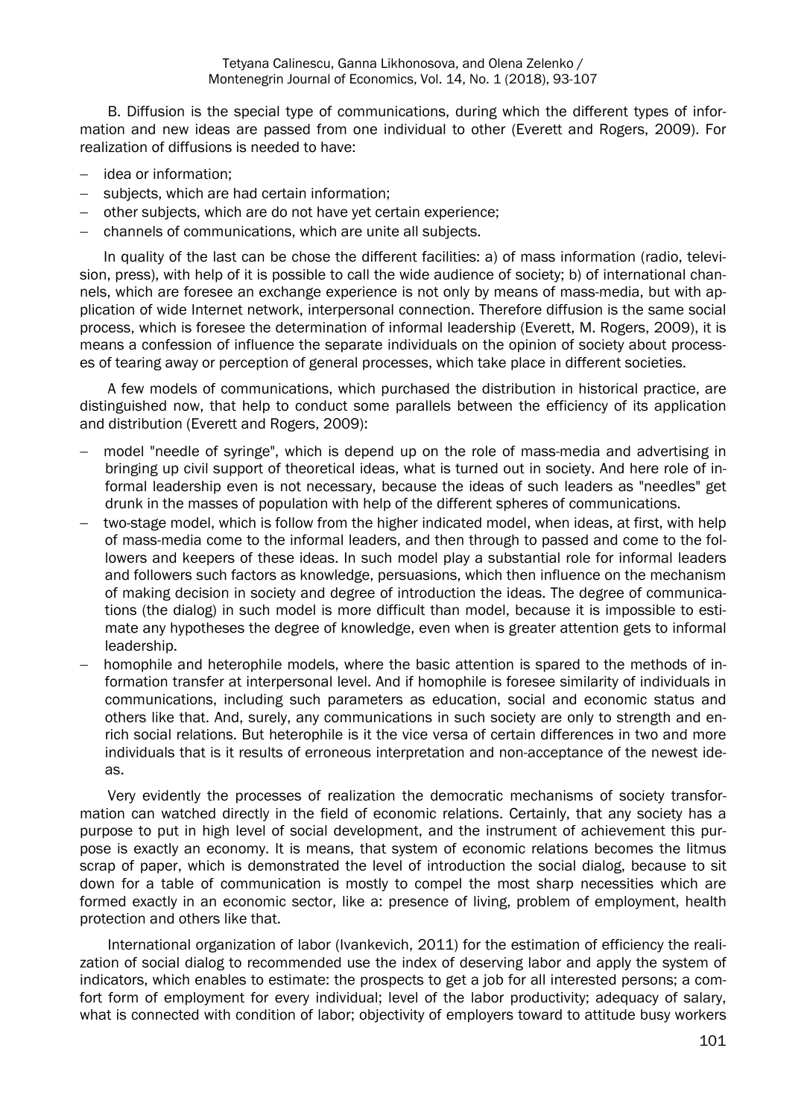B. Diffusion is the special type of communications, during which the different types of information and new ideas are passed from one individual to other (Everett and Rogers, 2009). For realization of diffusions is needed to have:

- idea or information:
- subjects, which are had certain information;
- other subjects, which are do not have yet certain experience;
- channels of communications, which are unite all subjects.

In quality of the last can be chose the different facilities: а) of mass information (radio, television, press), with help of it is possible to call the wide audience of society; b) of international channels, which are foresee an exchange experience is not only by means of mass-media, but with application of wide Internet network, interpersonal connection. Therefore diffusion is the same social process, which is foresee the determination of informal leadership (Everett, M. Rogers, 2009), it is means a confession of influence the separate individuals on the opinion of society about processes of tearing away or perception of general processes, which take place in different societies.

A few models of communications, which purchased the distribution in historical practice, are distinguished now, that help to conduct some parallels between the efficiency of its application and distribution (Everett and Rogers, 2009):

- model "needle of syringe", which is depend up on the role of mass-media and advertising in bringing up civil support of theoretical ideas, what is turned out in society. And here role of informal leadership even is not necessary, because the ideas of such leaders as "needles" get drunk in the masses of population with help of the different spheres of communications.
- two-stage model, which is follow from the higher indicated model, when ideas, at first, with help of mass-media come to the informal leaders, and then through to passed and come to the followers and keepers of these ideas. In such model play a substantial role for informal leaders and followers such factors as knowledge, persuasions, which then influence on the mechanism of making decision in society and degree of introduction the ideas. The degree of communications (the dialog) in such model is more difficult than model, because it is impossible to estimate any hypotheses the degree of knowledge, even when is greater attention gets to informal leadership.
- homophile and heterophile models, where the basic attention is spared to the methods of information transfer at interpersonal level. And if homophile is foresee similarity of individuals in communications, including such parameters as education, social and economic status and others like that. And, surely, any communications in such society are only to strength and enrich social relations. But heterophile is it the vice versa of certain differences in two and more individuals that is it results of erroneous interpretation and non-acceptance of the newest ideas.

Very evidently the processes of realization the democratic mechanisms of society transformation can watched directly in the field of economic relations. Certainly, that any society has a purpose to put in high level of social development, and the instrument of achievement this purpose is exactly an economy. It is means, that system of economic relations becomes the litmus scrap of paper, which is demonstrated the level of introduction the social dialog, because to sit down for a table of communication is mostly to compel the most sharp necessities which are formed exactly in an economic sector, like a: presence of living, problem of employment, health protection and others like that.

International organization of labor (Ivankevich, 2011) for the estimation of efficiency the realization of social dialog to recommended use the index of deserving labor and apply the system of indicators, which enables to estimate: the prospects to get a job for all interested persons; a comfort form of employment for every individual; level of the labor productivity; adequacy of salary, what is connected with condition of labor; objectivity of employers toward to attitude busy workers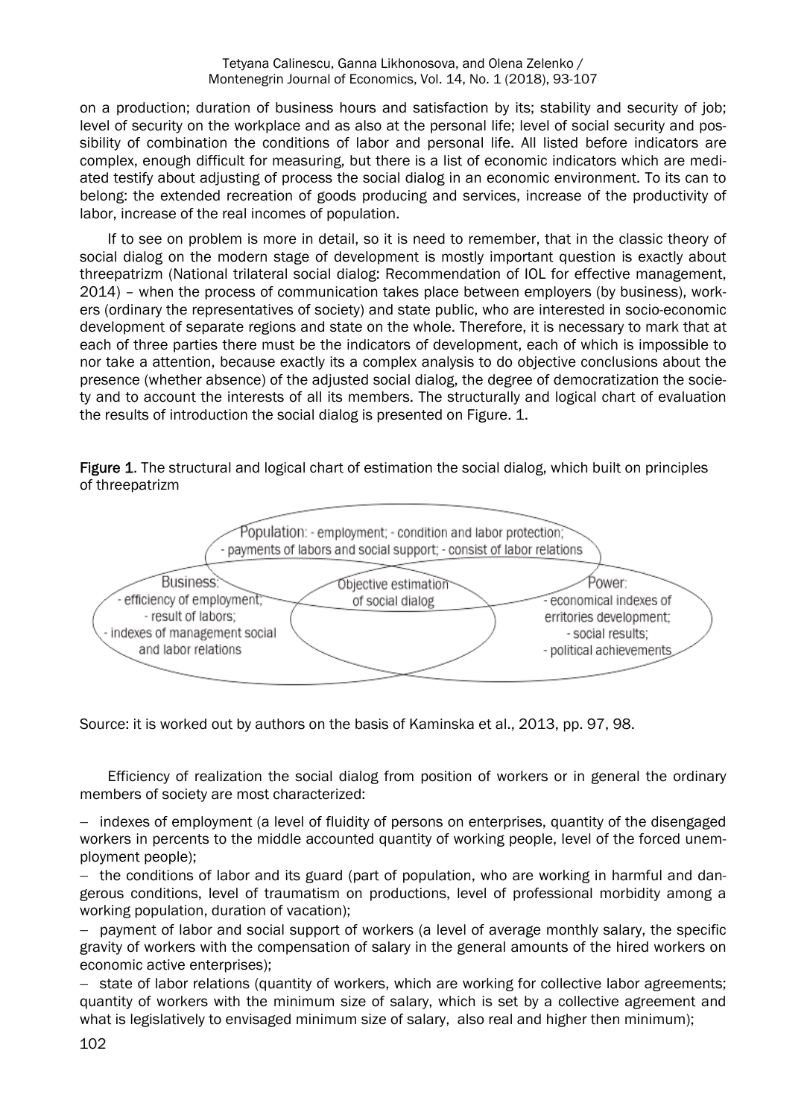on a production; duration of business hours and satisfaction by its; stability and security of job; level of security on the workplace and as also at the personal life; level of social security and possibility of combination the conditions of labor and personal life. All listed before indicators are complex, enough difficult for measuring, but there is a list of economic indicators which are mediated testify about adjusting of process the social dialog in an economic environment. To its can to belong: the extended recreation of goods producing and services, increase of the productivity of labor, increase of the real incomes of population.

If to see on problem is more in detail, so it is need to remember, that in the classic theory of social dialog on the modern stage of development is mostly important question is exactly about threepatrizm (National trilateral social dialog: Recommendation of IOL for effective management, 2014) – when the process of communication takes place between employers (by business), workers (ordinary the representatives of society) and state public, who are interested in socio-economic development of separate regions and state on the whole. Therefore, it is necessary to mark that at each of three parties there must be the indicators of development, each of which is impossible to nor take a attention, because exactly its a complex analysis to do objective conclusions about the presence (whether absence) of the adjusted social dialog, the degree of democratization the society and to account the interests of all its members. The structurally and logical chart of evaluation the results of introduction the social dialog is presented on Figure. 1.

Figure 1. The structural and logical chart of estimation the social dialog, which built on principles of threepatrizm



Source: it is worked out by authors on the basis of Каminska et al., 2013, pp. 97, 98.

Efficiency of realization the social dialog from position of workers or in general the ordinary members of society are most characterized:

- indexes of employment (a level of fluidity of persons on enterprises, quantity of the disengaged workers in percents to the middle accounted quantity of working people, level of the forced unemployment people);

 $-$  the conditions of labor and its guard (part of population, who are working in harmful and dangerous conditions, level of traumatism on productions, level of professional morbidity among a working population, duration of vacation);

 payment of labor and social support of workers (a level of average monthly salary, the specific gravity of workers with the compensation of salary in the general amounts of the hired workers on economic active enterprises);

- state of labor relations (quantity of workers, which are working for collective labor agreements; quantity of workers with the minimum size of salary, which is set by a collective agreement and what is legislatively to envisaged minimum size of salary, also real and higher then minimum);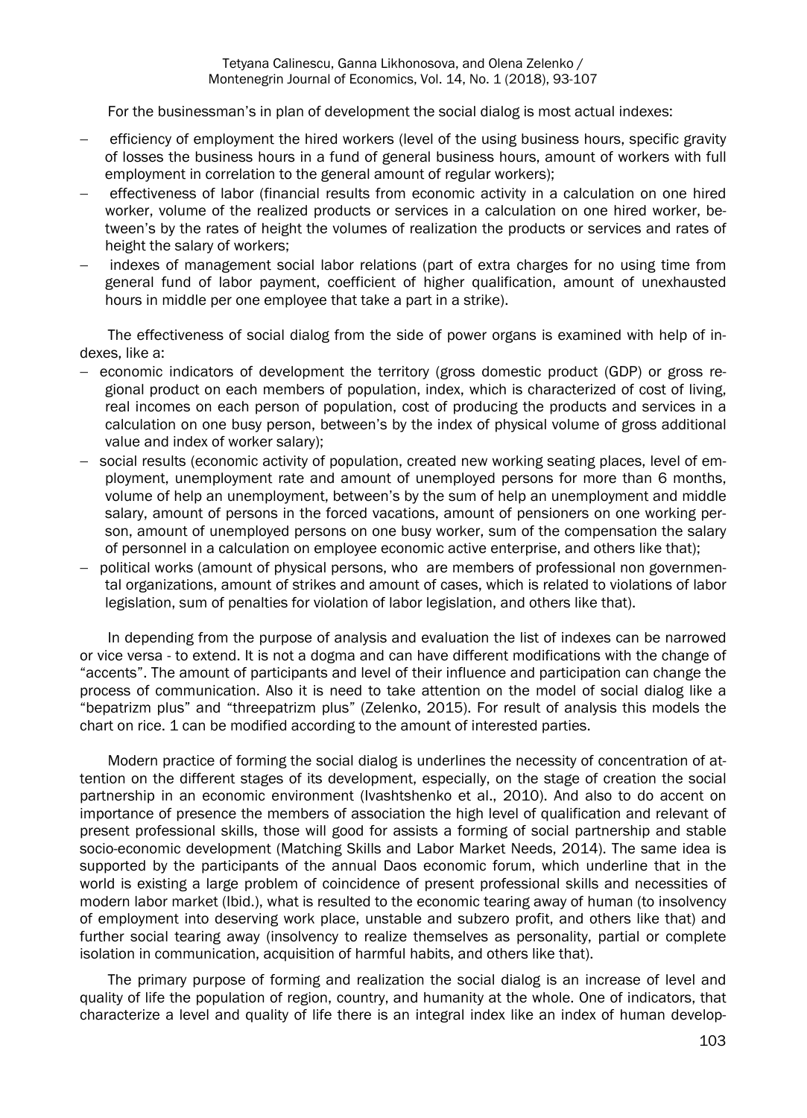For the businessman's in plan of development the social dialog is most actual indexes:

- efficiency of employment the hired workers (level of the using business hours, specific gravity of losses the business hours in a fund of general business hours, amount of workers with full employment in correlation to the general amount of regular workers);
- effectiveness of labor (financial results from economic activity in a calculation on one hired worker, volume of the realized products or services in a calculation on one hired worker, between's by the rates of height the volumes of realization the products or services and rates of height the salary of workers;
- indexes of management social labor relations (part of extra charges for no using time from general fund of labor payment, coefficient of higher qualification, amount of unexhausted hours in middle per one employee that take a part in a strike).

The effectiveness of social dialog from the side of power organs is examined with help of indexes, like a:

- economic indicators of development the territory (gross domestic product (GDP) or gross regional product on each members of population, index, which is characterized of cost of living, real incomes on each person of population, cost of producing the products and services in a calculation on one busy person, between's by the index of physical volume of gross additional value and index of worker salary);
- social results (economic activity of population, created new working seating places, level of employment, unemployment rate and amount of unemployed persons for more than 6 months, volume of help an unemployment, between's by the sum of help an unemployment and middle salary, amount of persons in the forced vacations, amount of pensioners on one working person, amount of unemployed persons on one busy worker, sum of the compensation the salary of personnel in a calculation on employee economic active enterprise, and others like that);
- political works (amount of physical persons, who are members of professional non governmental organizations, amount of strikes and amount of cases, which is related to violations of labor legislation, sum of penalties for violation of labor legislation, and others like that).

In depending from the purpose of analysis and evaluation the list of indexes can be narrowed or vice versa - to extend. It is not a dogma and can have different modifications with the change of "accents". The amount of participants and level of their influence and participation can change the process of communication. Also it is need to take attention on the model of social dialog like a "bepatrizm plus" and "threepatrizm plus" (Zelenko, 2015). For result of analysis this models the chart on rice. 1 can be modified according to the amount of interested parties.

Modern practice of forming the social dialog is underlines the necessity of concentration of attention on the different stages of its development, especially, on the stage of creation the social partnership in an economic environment (Іvashtshenko et al., 2010). And also to do accent on importance of presence the members of association the high level of qualification and relevant of present professional skills, those will good for assists a forming of social partnership and stable socio-economic development (Matching Skills and Labor Market Needs, 2014). The same idea is supported by the participants of the annual Daos economic forum, which underline that in the world is existing a large problem of coincidence of present professional skills and necessities of modern labor market (Ibid.), what is resulted to the economic tearing away of human (to insolvency of employment into deserving work place, unstable and subzero profit, and others like that) and further social tearing away (insolvency to realize themselves as personality, partial or complete isolation in communication, acquisition of harmful habits, and others like that).

The primary purpose of forming and realization the social dialog is an increase of level and quality of life the population of region, country, and humanity at the whole. One of indicators, that characterize a level and quality of life there is an integral index like an index of human develop-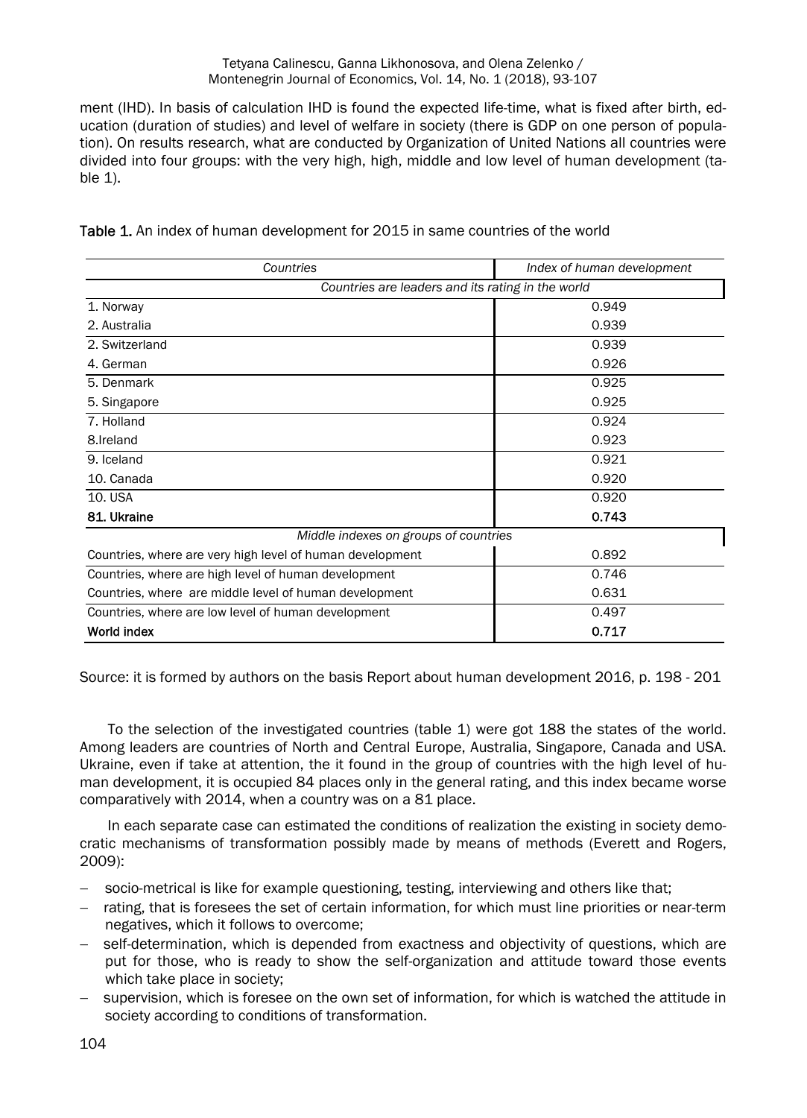ment (ІHD). In basis of calculation ІHD is found the expected life-time, what is fixed after birth, education (duration of studies) and level of welfare in society (there is GDP on one person of population). On results research, what are conducted by Organization of United Nations all countries were divided into four groups: with the very high, high, middle and low level of human development (table  $1$ ).

| Countries                                                 | Index of human development |
|-----------------------------------------------------------|----------------------------|
| Countries are leaders and its rating in the world         |                            |
| 1. Norway                                                 | 0.949                      |
| 2. Australia                                              | 0.939                      |
| 2. Switzerland                                            | 0.939                      |
| 4. German                                                 | 0.926                      |
| 5. Denmark                                                | 0.925                      |
| 5. Singapore                                              | 0.925                      |
| 7. Holland                                                | 0.924                      |
| 8.Ireland                                                 | 0.923                      |
| 9. Iceland                                                | 0.921                      |
| 10. Canada                                                | 0.920                      |
| 10. USA                                                   | 0.920                      |
| 81. Ukraine                                               | 0.743                      |
| Middle indexes on groups of countries                     |                            |
| Countries, where are very high level of human development | 0.892                      |
| Countries, where are high level of human development      | 0.746                      |
| Countries, where are middle level of human development    | 0.631                      |
| Countries, where are low level of human development       | 0.497                      |
| World index                                               | 0.717                      |

Table 1. An index of human development for 2015 in same countries of the world

Source: it is formed by authors on the basis Report about human development 2016, p. 198 - 201

To the selection of the investigated countries (table 1) were got 188 the states of the world. Among leaders are countries of North and Central Europe, Australia, Singapore, Canada and USA. Ukraine, even if take at attention, the it found in the group of countries with the high level of human development, it is occupied 84 places only in the general rating, and this index became worse comparatively with 2014, when a country was on a 81 place.

In each separate case can estimated the conditions of realization the existing in society democratic mechanisms of transformation possibly made by means of methods (Everett and Rogers, 2009):

- socio-metrical is like for example questioning, testing, interviewing and others like that;
- rating, that is foresees the set of certain information, for which must line priorities or near-term negatives, which it follows to overcome;
- self-determination, which is depended from exactness and objectivity of questions, which are put for those, who is ready to show the self-organization and attitude toward those events which take place in society;
- supervision, which is foresee on the own set of information, for which is watched the attitude in society according to conditions of transformation.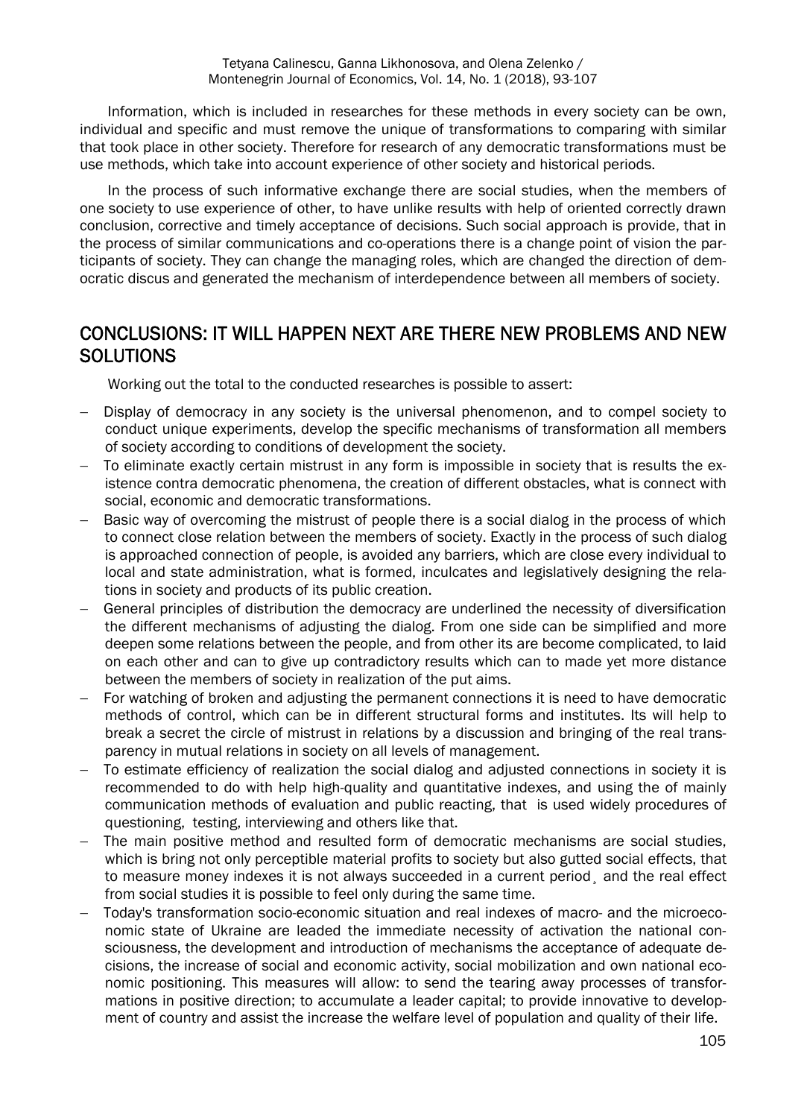Information, which is included in researches for these methods in every society can be own, individual and specific and must remove the unique of transformations to comparing with similar that took place in other society. Therefore for research of any democratic transformations must be use methods, which take into account experience of other society and historical periods.

In the process of such informative exchange there are social studies, when the members of one society to use experience of other, to have unlike results with help of oriented correctly drawn conclusion, corrective and timely acceptance of decisions. Such social approach is provide, that in the process of similar communications and co-operations there is a change point of vision the participants of society. They can change the managing roles, which are changed the direction of democratic discus and generated the mechanism of interdependence between all members of society.

## CONCLUSIONS: IT WILL HAPPEN NEXT ARE THERE NEW PROBLEMS AND NEW **SOLUTIONS**

Working out the total to the conducted researches is possible to assert:

- Display of democracy in any society is the universal phenomenon, and to compel society to conduct unique experiments, develop the specific mechanisms of transformation all members of society according to conditions of development the society.
- To eliminate exactly certain mistrust in any form is impossible in society that is results the existence contra democratic phenomena, the creation of different obstacles, what is connect with social, economic and democratic transformations.
- Basic way of overcoming the mistrust of people there is a social dialog in the process of which to connect close relation between the members of society. Exactly in the process of such dialog is approached connection of people, is avoided any barriers, which are close every individual to local and state administration, what is formed, inculcates and legislatively designing the relations in society and products of its public creation.
- General principles of distribution the democracy are underlined the necessity of diversification the different mechanisms of adjusting the dialog. From one side can be simplified and more deepen some relations between the people, and from other its are become complicated, to laid on each other and can to give up contradictory results which can to made yet more distance between the members of society in realization of the put aims.
- For watching of broken and adjusting the permanent connections it is need to have democratic methods of control, which can be in different structural forms and institutes. Its will help to break a secret the circle of mistrust in relations by a discussion and bringing of the real transparency in mutual relations in society on all levels of management.
- To estimate efficiency of realization the social dialog and adjusted connections in society it is recommended to do with help high-quality and quantitative indexes, and using the of mainly communication methods of evaluation and public reacting, that is used widely procedures of questioning, testing, interviewing and others like that.
- The main positive method and resulted form of democratic mechanisms are social studies, which is bring not only perceptible material profits to society but also gutted social effects, that to measure money indexes it is not always succeeded in a current period¸ and the real effect from social studies it is possible to feel only during the same time.
- Today's transformation socio-economic situation and real indexes of macro- and the microeconomic state of Ukraine are leaded the immediate necessity of activation the national consciousness, the development and introduction of mechanisms the acceptance of adequate decisions, the increase of social and economic activity, social mobilization and own national economic positioning. This measures will allow: to send the tearing away processes of transformations in positive direction; to accumulate a leader capital; to provide innovative to development of country and assist the increase the welfare level of population and quality of their life.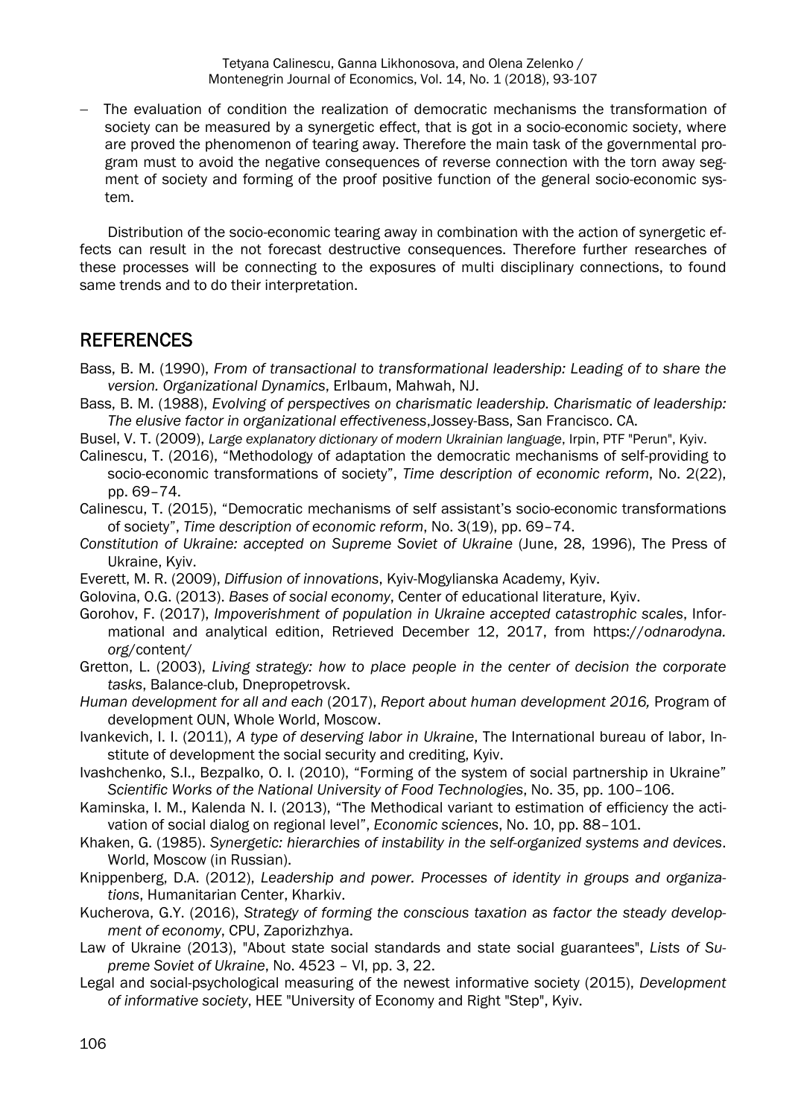The evaluation of condition the realization of democratic mechanisms the transformation of society can be measured by a synergetic effect, that is got in a socio-economic society, where are proved the phenomenon of tearing away. Therefore the main task of the governmental program must to avoid the negative consequences of reverse connection with the torn away segment of society and forming of the proof positive function of the general socio-economic system.

Distribution of the socio-economic tearing away in combination with the action of synergetic effects can result in the not forecast destructive consequences. Therefore further researches of these processes will be connecting to the exposures of multi disciplinary connections, to found same trends and to do their interpretation.

#### **REFERENCES**

- Bass, B. M. (1990), *From of transactional to transformational leadership: Leading of to share the version. Organizational Dynamics*, Erlbaum, Mahwah, NJ.
- Bass, B. M. (1988), *Evolving of perspectives on charismatic leadership. Charismatic of leadership: The elusive factor in organizational effectiveness*,Jossey-Bass, San Francisco. CA.

Busel, V. Т. (2009), *Large explanatory dictionary of modern Ukrainian language*, Іrpin, PTF "Perun", Kyiv.

Calinescu, T. (2016), "Methodology of adaptation the democratic mechanisms of self-providing to socio-economic transformations of society", *Time description of economic reform*, No. 2(22), pp. 69–74.

Calinescu, T. (2015), "Democratic mechanisms of self assistant's socio-economic transformations of society", *Time description of economic reform*, No. 3(19), pp. 69–74.

- *Constitution of Ukraine: accepted on Supreme Soviet of Ukraine* (June, 28, 1996), The Press of Ukraine, Kyiv.
- Everett, M. R. (2009), *Diffusion of innovations*, Kyiv-Mogylianska Academy, Kyiv.
- Golovina, О.G. (2013). *Bases of social economy*, Center of educational literature, Kyiv.
- Gorohov, F. (2017), *Impoverishment of population in Ukraine accepted catastrophic scales*, Informational and analytical edition, Retrieved December 12, 2017, from https://*odnarodyna. org*/content/
- Gretton, L. (2003), *Living strategy: how to place people in the center of decision the corporate tasks*, Balance-club, Dnepropetrovsk.

*Human development for all and each* (2017), *Report about human development 2016,* Program of development OUN, Whole World, Moscow.

- Ivankevich, I. I. (2011), *A type of deserving labor in Ukraine*, The International bureau of labor, Institute of development the social security and crediting, Kyiv.
- Іvashchenko, S.I., Bezpalko, O. I. (2010), "Forming of the system of social partnership in Ukraine" *Scientific Works of the National University of Food Technologies*, No. 35, pp. 100–106.
- Каminska, І. М., Kalenda N. I. (2013), "The Methodical variant to estimation of efficiency the activation of social dialog on regional level", *Economic sciences*, No. 10, pp. 88–101.
- Khaken, G. (1985). *Synergetic: hierarchies of instability in the self-organized systems and devices*. World, Moscow (in Russian).
- Кnippenberg, D.A. (2012), *Leadership and power. Processes of identity in groups and organizations*, Humanitarian Center, Kharkiv.
- Кucherova, G.Y. (2016), *Strategy of forming the conscious taxation as factor the steady development of economy*, CPU, Zaporizhzhya.
- Law of Ukraine (2013), "About state social standards and state social guarantees", *Lists of Supreme Soviet of Ukraine*, No. 4523 – VI, pp. 3, 22.
- Legal and social-psychological measuring of the newest informative society (2015), *Development of informative society*, HEE "University of Economy and Right "Step", Kyiv.